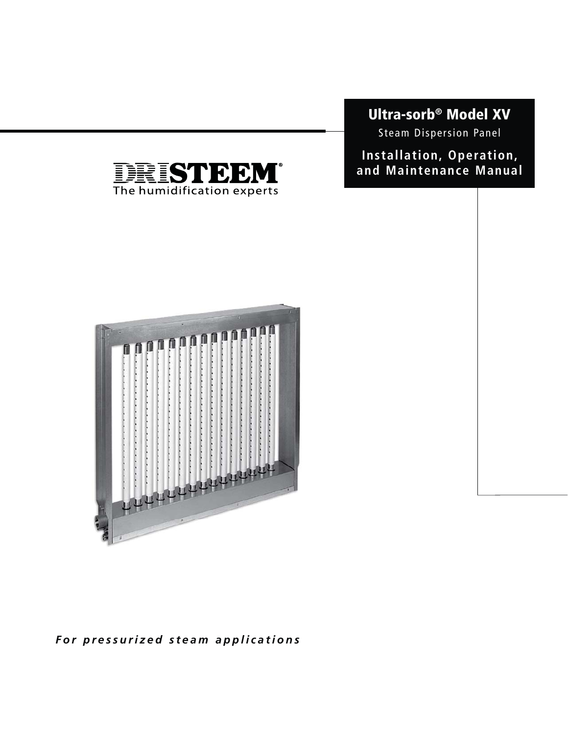# **Ultra-sorb® Model XV**

Steam Dispersion Panel

**Installation, Operation, and Maintenance Manual**





*For pressurized steam applications*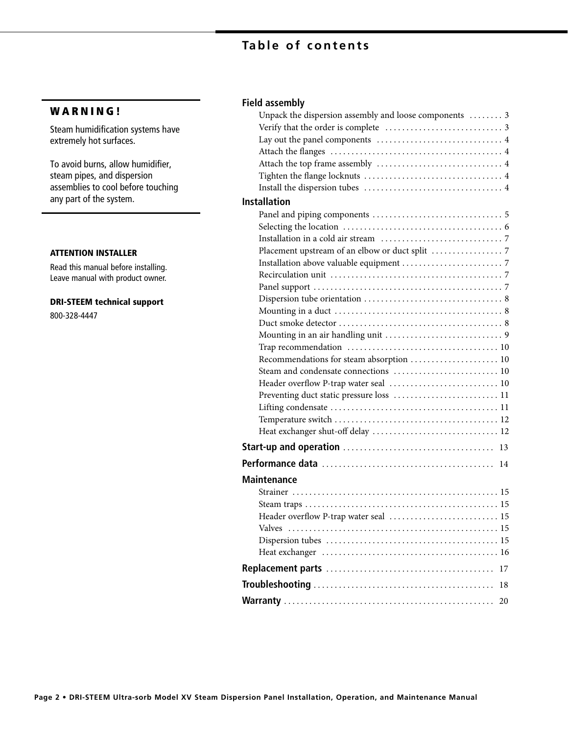## **Table of contents**

### **W A R N I N G !**

Steam humidification systems have extremely hot surfaces.

To avoid burns, allow humidifier, steam pipes, and dispersion assemblies to cool before touching any part of the system.

#### **ATTENTION INSTALLER**

Read this manual before installing. Leave manual with product owner.

#### **DRI-STEEM technical support**

800-328-4447

### **Field assembly**

| Unpack the dispersion assembly and loose components  3 |  |
|--------------------------------------------------------|--|
|                                                        |  |
|                                                        |  |
|                                                        |  |
|                                                        |  |
|                                                        |  |
|                                                        |  |
| <b>Installation</b>                                    |  |
|                                                        |  |
|                                                        |  |
|                                                        |  |
|                                                        |  |
|                                                        |  |
|                                                        |  |
|                                                        |  |
|                                                        |  |
|                                                        |  |
|                                                        |  |
|                                                        |  |
|                                                        |  |
| Recommendations for steam absorption  10               |  |
|                                                        |  |
| Header overflow P-trap water seal  10                  |  |
| Preventing duct static pressure loss  11               |  |
|                                                        |  |
|                                                        |  |
| Heat exchanger shut-off delay  12                      |  |
|                                                        |  |
| 14                                                     |  |
| <b>Maintenance</b>                                     |  |
|                                                        |  |
|                                                        |  |
| Header overflow P-trap water seal  15                  |  |
| <b>Valves</b>                                          |  |
|                                                        |  |
|                                                        |  |
| 17                                                     |  |
| 18                                                     |  |
| 20                                                     |  |
|                                                        |  |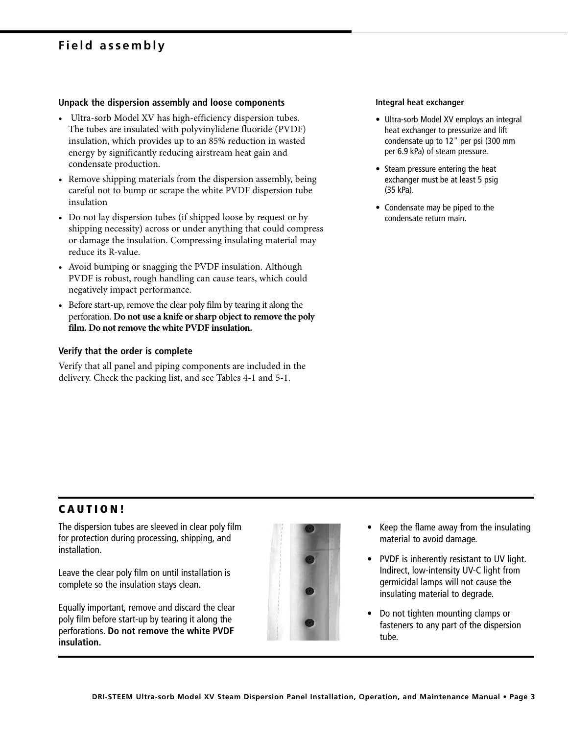## **Field assembly**

#### **Unpack the dispersion assembly and loose components**

- Ultra-sorb Model XV has high-efficiency dispersion tubes. The tubes are insulated with polyvinylidene fluoride (PVDF) insulation, which provides up to an 85% reduction in wasted energy by significantly reducing airstream heat gain and condensate production.
- Remove shipping materials from the dispersion assembly, being careful not to bump or scrape the white PVDF dispersion tube insulation
- Do not lay dispersion tubes (if shipped loose by request or by shipping necessity) across or under anything that could compress or damage the insulation. Compressing insulating material may reduce its R-value.
- Avoid bumping or snagging the PVDF insulation. Although PVDF is robust, rough handling can cause tears, which could negatively impact performance.
- Before start-up, remove the clear poly film by tearing it along the perforation. **Do not use a knife or sharp object to remove the poly film. Do not remove the white PVDF insulation.**

#### **Verify that the order is complete**

Verify that all panel and piping components are included in the delivery. Check the packing list, and see Tables 4-1 and 5-1.

#### **Integral heat exchanger**

- Ultra-sorb Model XV employs an integral heat exchanger to pressurize and lift condensate up to 12" per psi (300 mm per 6.9 kPa) of steam pressure.
- Steam pressure entering the heat exchanger must be at least 5 psig (35 kPa).
- Condensate may be piped to the condensate return main.

### **C A U T I O N !**

The dispersion tubes are sleeved in clear poly film for protection during processing, shipping, and installation.

Leave the clear poly film on until installation is complete so the insulation stays clean.

Equally important, remove and discard the clear poly film before start-up by tearing it along the perforations. **Do not remove the white PVDF insulation.**



- Keep the flame away from the insulating material to avoid damage.
- PVDF is inherently resistant to UV light. Indirect, low-intensity UV-C light from germicidal lamps will not cause the insulating material to degrade.
- Do not tighten mounting clamps or fasteners to any part of the dispersion tube.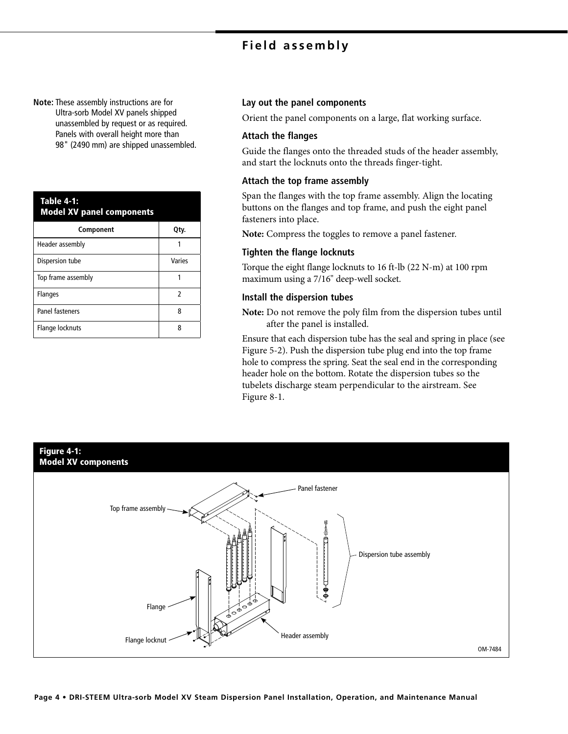## **Field assembly**

**Note:** These assembly instructions are for Ultra-sorb Model XV panels shipped unassembled by request or as required. Panels with overall height more than 98" (2490 mm) are shipped unassembled.

| <b>Table 4-1:</b><br><b>Model XV panel components</b> |        |  |
|-------------------------------------------------------|--------|--|
| Component                                             | Qty.   |  |
| Header assembly                                       |        |  |
| Dispersion tube                                       | Varies |  |
| Top frame assembly                                    |        |  |
| <b>Flanges</b>                                        | 2      |  |
| Panel fasteners                                       | 8      |  |
| Flange locknuts                                       | 8      |  |

#### **Lay out the panel components**

Orient the panel components on a large, flat working surface.

#### **Attach the flanges**

Guide the flanges onto the threaded studs of the header assembly, and start the locknuts onto the threads finger-tight.

#### **Attach the top frame assembly**

Span the flanges with the top frame assembly. Align the locating buttons on the flanges and top frame, and push the eight panel fasteners into place.

**Note:** Compress the toggles to remove a panel fastener.

#### **Tighten the flange locknuts**

Torque the eight flange locknuts to 16 ft-lb (22 N-m) at 100 rpm maximum using a 7/16" deep-well socket.

#### **Install the dispersion tubes**

**Note:** Do not remove the poly film from the dispersion tubes until after the panel is installed.

Ensure that each dispersion tube has the seal and spring in place (see Figure 5-2). Push the dispersion tube plug end into the top frame hole to compress the spring. Seat the seal end in the corresponding header hole on the bottom. Rotate the dispersion tubes so the tubelets discharge steam perpendicular to the airstream. See Figure 8-1.

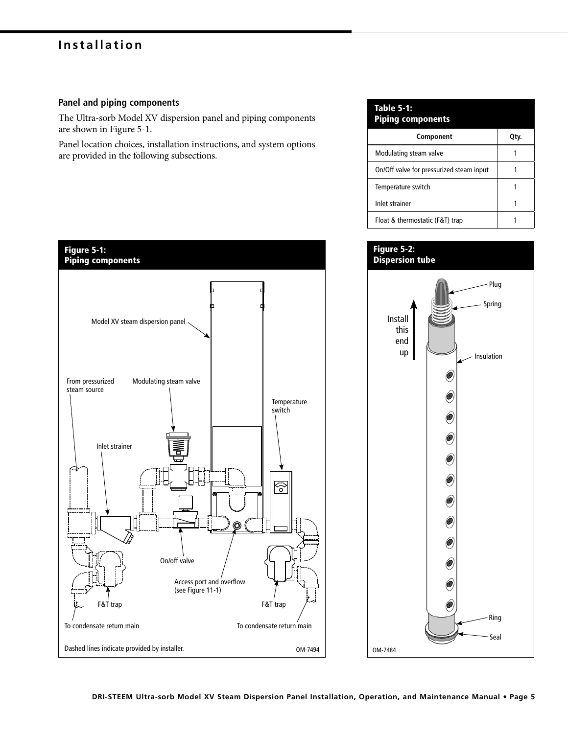#### **Panel and piping components**

The Ultra-sorb Model XV dispersion panel and piping components are shown in Figure 5-1.

Panel location choices, installation instructions, and system options are provided in the following subsections.



## **Table 5-1: Piping components Component Qty.** Modulating steam valve **1** 1 On/Off valve for pressurized steam input | 1 Temperature switch 1 and 1 Inlet strainer 1 Float & thermostatic (F&T) trap 1

#### **Figure 5-2: Dispersion tube**

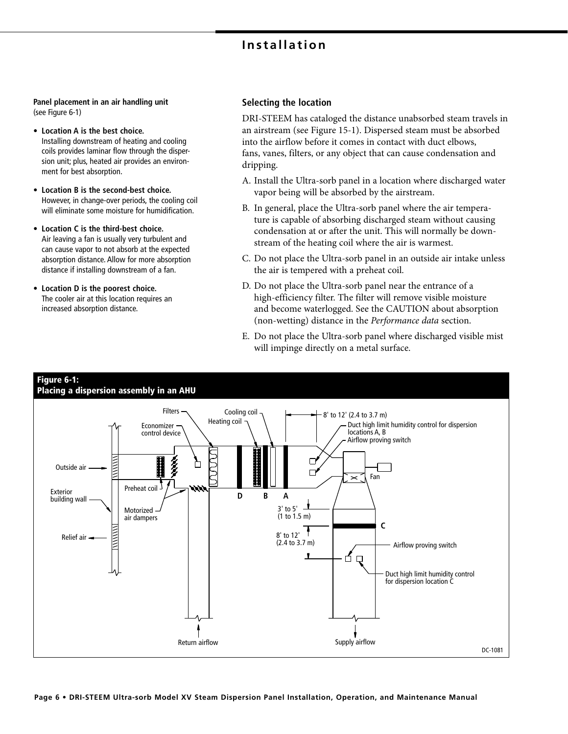**Panel placement in an air handling unit**  (see Figure 6-1)

- **Location A is the best choice.** Installing downstream of heating and cooling coils provides laminar flow through the dispersion unit; plus, heated air provides an environment for best absorption.
- **Location B is the second-best choice.** However, in change-over periods, the cooling coil will eliminate some moisture for humidification.
- **Location C is the third-best choice.**  Air leaving a fan is usually very turbulent and can cause vapor to not absorb at the expected absorption distance. Allow for more absorption distance if installing downstream of a fan.
- **Location D is the poorest choice.**  The cooler air at this location requires an increased absorption distance.

#### **Selecting the location**

DRI-STEEM has cataloged the distance unabsorbed steam travels in an airstream (see Figure 15-1). Dispersed steam must be absorbed into the airflow before it comes in contact with duct elbows, fans, vanes, filters, or any object that can cause condensation and dripping.

- A. Install the Ultra-sorb panel in a location where discharged water vapor being will be absorbed by the airstream.
- B. In general, place the Ultra-sorb panel where the air temperature is capable of absorbing discharged steam without causing condensation at or after the unit. This will normally be downstream of the heating coil where the air is warmest.
- C. Do not place the Ultra-sorb panel in an outside air intake unless the air is tempered with a preheat coil.
- D. Do not place the Ultra-sorb panel near the entrance of a high-efficiency filter. The filter will remove visible moisture and become waterlogged. See the CAUTION about absorption (non-wetting) distance in the Performance data section.
- E. Do not place the Ultra-sorb panel where discharged visible mist will impinge directly on a metal surface.

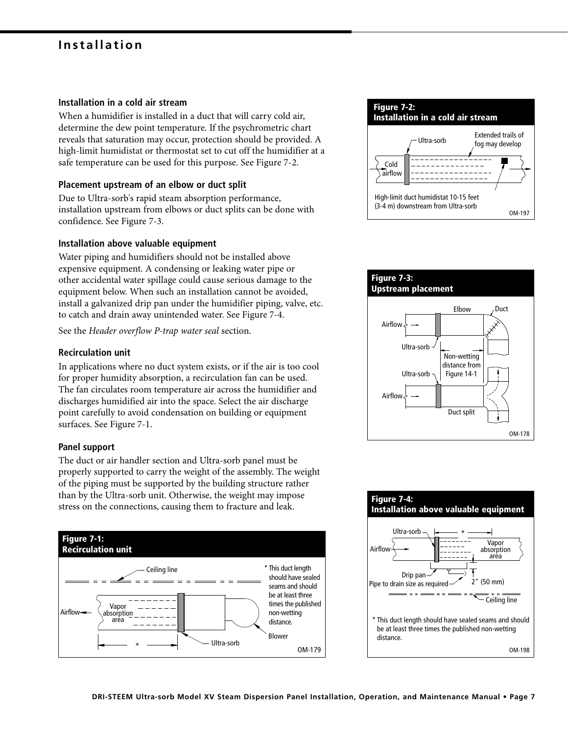#### **Installation in a cold air stream**

When a humidifier is installed in a duct that will carry cold air, determine the dew point temperature. If the psychrometric chart reveals that saturation may occur, protection should be provided. A high-limit humidistat or thermostat set to cut off the humidifier at a safe temperature can be used for this purpose. See Figure 7-2.

#### **Placement upstream of an elbow or duct split**

Due to Ultra-sorb's rapid steam absorption performance, installation upstream from elbows or duct splits can be done with confidence. See Figure 7-3.

#### **Installation above valuable equipment**

Water piping and humidifiers should not be installed above expensive equipment. A condensing or leaking water pipe or other accidental water spillage could cause serious damage to the equipment below. When such an installation cannot be avoided, install a galvanized drip pan under the humidifier piping, valve, etc. to catch and drain away unintended water. See Figure 7-4.

See the Header overflow P-trap water seal section.

#### **Recirculation unit**

In applications where no duct system exists, or if the air is too cool for proper humidity absorption, a recirculation fan can be used. The fan circulates room temperature air across the humidifier and discharges humidified air into the space. Select the air discharge point carefully to avoid condensation on building or equipment surfaces. See Figure 7-1.

#### **Panel support**

The duct or air handler section and Ultra-sorb panel must be properly supported to carry the weight of the assembly. The weight of the piping must be supported by the building structure rather than by the Ultra-sorb unit. Otherwise, the weight may impose stress on the connections, causing them to fracture and leak.







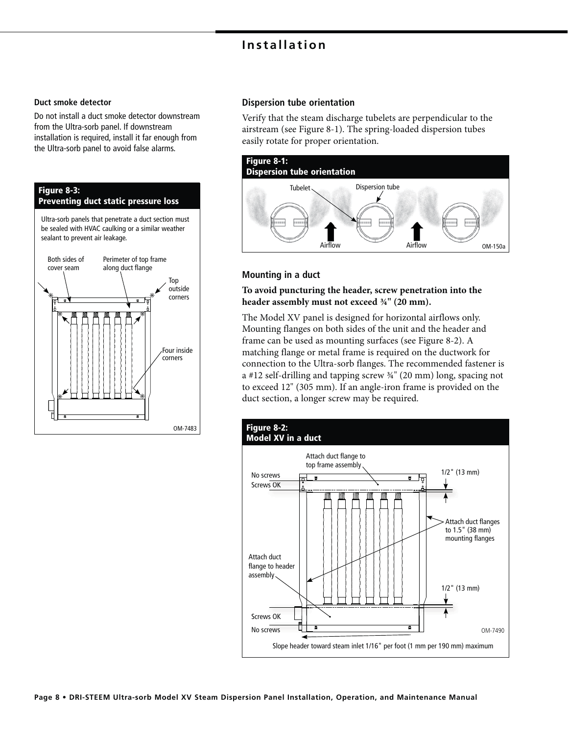#### **Duct smoke detector**

Do not install a duct smoke detector downstream from the Ultra-sorb panel. If downstream installation is required, install it far enough from the Ultra-sorb panel to avoid false alarms.



#### **Dispersion tube orientation**

Verify that the steam discharge tubelets are perpendicular to the airstream (see Figure 8-1). The spring-loaded dispersion tubes easily rotate for proper orientation.



#### **Mounting in a duct**

**To avoid puncturing the header, screw penetration into the header assembly must not exceed ¾" (20 mm).**

The Model XV panel is designed for horizontal airflows only. Mounting flanges on both sides of the unit and the header and frame can be used as mounting surfaces (see Figure 8-2). A matching flange or metal frame is required on the ductwork for connection to the Ultra-sorb flanges. The recommended fastener is a #12 self-drilling and tapping screw ¾" (20 mm) long, spacing not to exceed 12" (305 mm). If an angle-iron frame is provided on the duct section, a longer screw may be required.

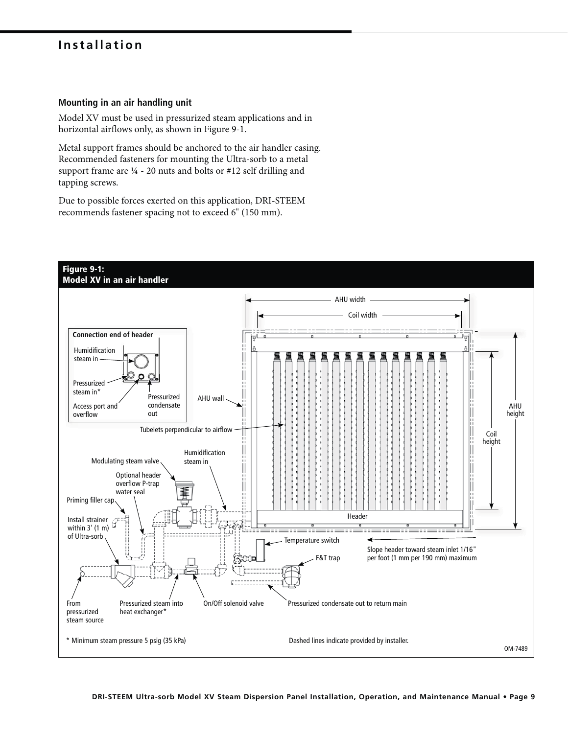#### **Mounting in an air handling unit**

Model XV must be used in pressurized steam applications and in horizontal airflows only, as shown in Figure 9-1.

Metal support frames should be anchored to the air handler casing. Recommended fasteners for mounting the Ultra-sorb to a metal support frame are ¼ - 20 nuts and bolts or #12 self drilling and tapping screws.

Due to possible forces exerted on this application, DRI-STEEM recommends fastener spacing not to exceed 6" (150 mm).

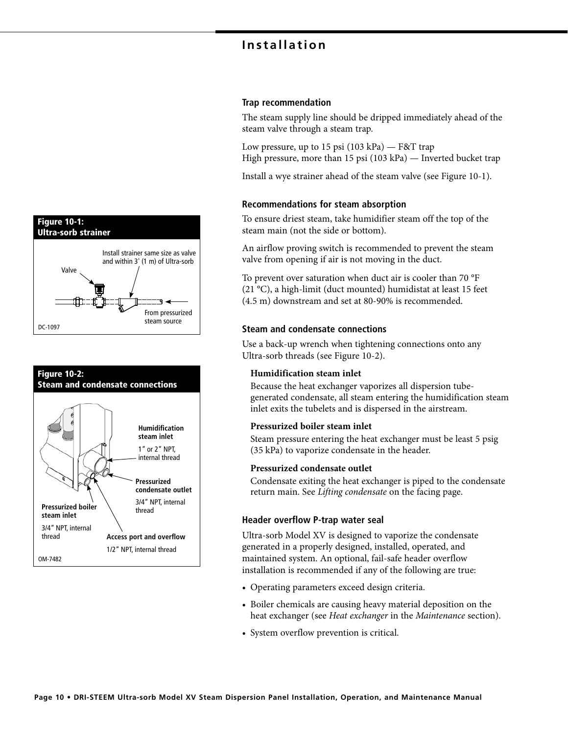

#### **Trap recommendation**

The steam supply line should be dripped immediately ahead of the steam valve through a steam trap.

Low pressure, up to 15 psi (103 kPa) — F&T trap High pressure, more than 15 psi (103 kPa) — Inverted bucket trap

Install a wye strainer ahead of the steam valve (see Figure 10-1).

#### **Recommendations for steam absorption**

To ensure driest steam, take humidifier steam off the top of the steam main (not the side or bottom).

An airflow proving switch is recommended to prevent the steam valve from opening if air is not moving in the duct.

To prevent over saturation when duct air is cooler than 70 °F (21 °C), a high-limit (duct mounted) humidistat at least 15 feet (4.5 m) downstream and set at 80-90% is recommended.

#### **Steam and condensate connections**

Use a back-up wrench when tightening connections onto any Ultra-sorb threads (see Figure 10-2).

#### **Humidification steam inlet**

Because the heat exchanger vaporizes all dispersion tubegenerated condensate, all steam entering the humidification steam inlet exits the tubelets and is dispersed in the airstream.

#### **Pressurized boiler steam inlet**

Steam pressure entering the heat exchanger must be least 5 psig (35 kPa) to vaporize condensate in the header.

#### **Pressurized condensate outlet**

Condensate exiting the heat exchanger is piped to the condensate return main. See Lifting condensate on the facing page.

#### **Header overflow P-trap water seal**

Ultra-sorb Model XV is designed to vaporize the condensate generated in a properly designed, installed, operated, and maintained system. An optional, fail-safe header overflow installation is recommended if any of the following are true:

- Operating parameters exceed design criteria.
- Boiler chemicals are causing heavy material deposition on the heat exchanger (see Heat exchanger in the Maintenance section).
- System overflow prevention is critical.



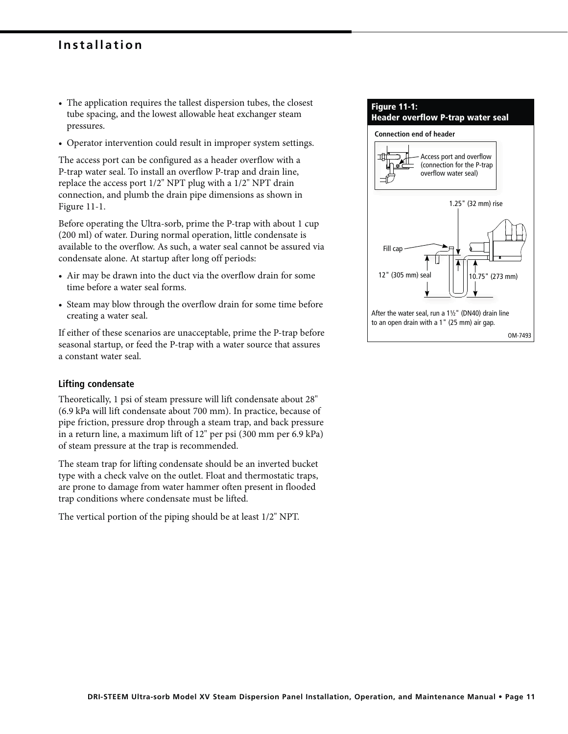- The application requires the tallest dispersion tubes, the closest tube spacing, and the lowest allowable heat exchanger steam pressures.
- Operator intervention could result in improper system settings.

The access port can be configured as a header overflow with a P-trap water seal. To install an overflow P-trap and drain line, replace the access port 1/2" NPT plug with a 1/2" NPT drain connection, and plumb the drain pipe dimensions as shown in Figure 11-1.

Before operating the Ultra-sorb, prime the P-trap with about 1 cup (200 ml) of water. During normal operation, little condensate is available to the overflow. As such, a water seal cannot be assured via condensate alone. At startup after long off periods:

- Air may be drawn into the duct via the overflow drain for some time before a water seal forms.
- Steam may blow through the overflow drain for some time before creating a water seal.

If either of these scenarios are unacceptable, prime the P-trap before seasonal startup, or feed the P-trap with a water source that assures a constant water seal.

#### **Lifting condensate**

Theoretically, 1 psi of steam pressure will lift condensate about 28" (6.9 kPa will lift condensate about 700 mm). In practice, because of pipe friction, pressure drop through a steam trap, and back pressure in a return line, a maximum lift of 12" per psi (300 mm per 6.9 kPa) of steam pressure at the trap is recommended.

The steam trap for lifting condensate should be an inverted bucket type with a check valve on the outlet. Float and thermostatic traps, are prone to damage from water hammer often present in flooded trap conditions where condensate must be lifted.

The vertical portion of the piping should be at least 1/2" NPT.

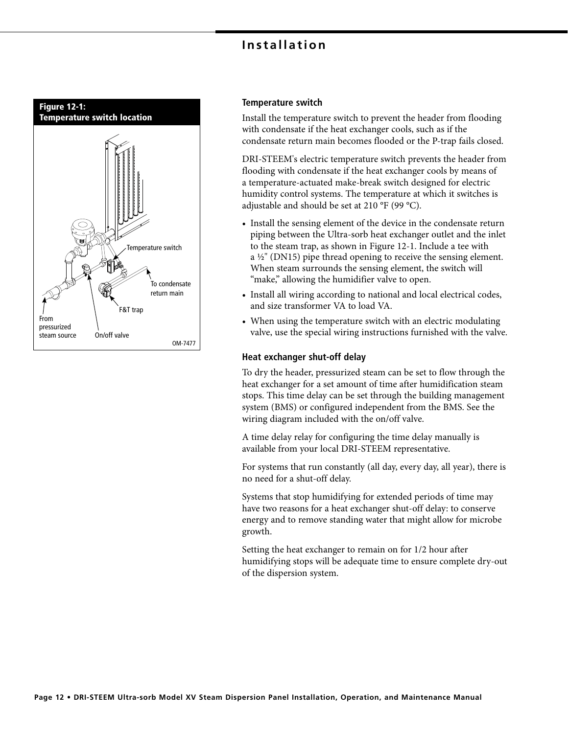

#### **Temperature switch**

Install the temperature switch to prevent the header from flooding with condensate if the heat exchanger cools, such as if the condensate return main becomes flooded or the P-trap fails closed.

DRI-STEEM's electric temperature switch prevents the header from flooding with condensate if the heat exchanger cools by means of a temperature-actuated make-break switch designed for electric humidity control systems. The temperature at which it switches is adjustable and should be set at 210 °F (99 °C).

- Install the sensing element of the device in the condensate return piping between the Ultra-sorb heat exchanger outlet and the inlet to the steam trap, as shown in Figure 12-1. Include a tee with a ½" (DN15) pipe thread opening to receive the sensing element. When steam surrounds the sensing element, the switch will "make," allowing the humidifier valve to open.
- Install all wiring according to national and local electrical codes, and size transformer VA to load VA.
- When using the temperature switch with an electric modulating valve, use the special wiring instructions furnished with the valve.

#### **Heat exchanger shut-off delay**

To dry the header, pressurized steam can be set to flow through the heat exchanger for a set amount of time after humidification steam stops. This time delay can be set through the building management system (BMS) or configured independent from the BMS. See the wiring diagram included with the on/off valve.

A time delay relay for configuring the time delay manually is available from your local DRI-STEEM representative.

For systems that run constantly (all day, every day, all year), there is no need for a shut-off delay.

Systems that stop humidifying for extended periods of time may have two reasons for a heat exchanger shut-off delay: to conserve energy and to remove standing water that might allow for microbe growth.

Setting the heat exchanger to remain on for 1/2 hour after humidifying stops will be adequate time to ensure complete dry-out of the dispersion system.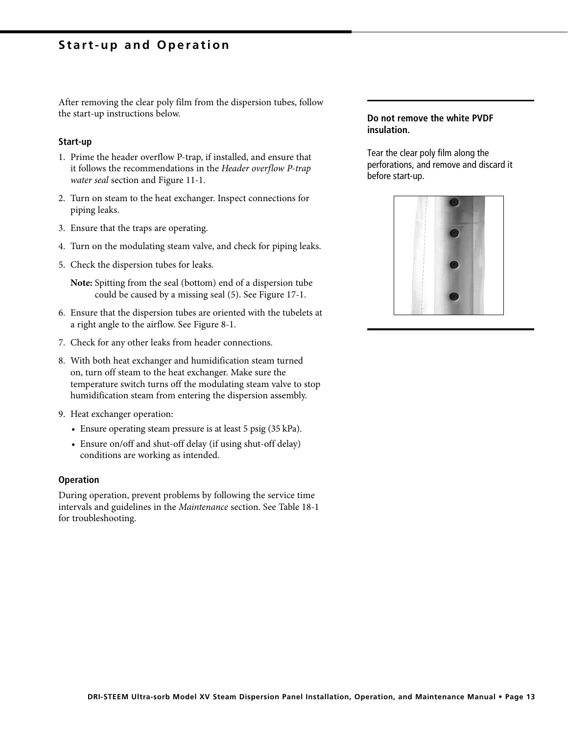### **Start-up and Operation**

After removing the clear poly film from the dispersion tubes, follow the start-up instructions below.

#### **Start-up**

- 1. Prime the header overflow P-trap, if installed, and ensure that it follows the recommendations in the Header overflow P-trap water seal section and Figure 11-1.
- 2. Turn on steam to the heat exchanger. Inspect connections for piping leaks.
- 3. Ensure that the traps are operating.
- 4. Turn on the modulating steam valve, and check for piping leaks.
- 5. Check the dispersion tubes for leaks.

**Note:** Spitting from the seal (bottom) end of a dispersion tube could be caused by a missing seal (5). See Figure 17-1.

- 6. Ensure that the dispersion tubes are oriented with the tubelets at a right angle to the airflow. See Figure 8-1.
- 7. Check for any other leaks from header connections.
- 8. With both heat exchanger and humidification steam turned on, turn off steam to the heat exchanger. Make sure the temperature switch turns off the modulating steam valve to stop humidification steam from entering the dispersion assembly.
- 9. Heat exchanger operation:
	- Ensure operating steam pressure is at least 5 psig (35 kPa).
	- Ensure on/off and shut-off delay (if using shut-off delay) conditions are working as intended.

#### **Operation**

During operation, prevent problems by following the service time intervals and guidelines in the Maintenance section. See Table 18-1 for troubleshooting.

#### **Do not remove the white PVDF insulation.**

Tear the clear poly film along the perforations, and remove and discard it before start-up.

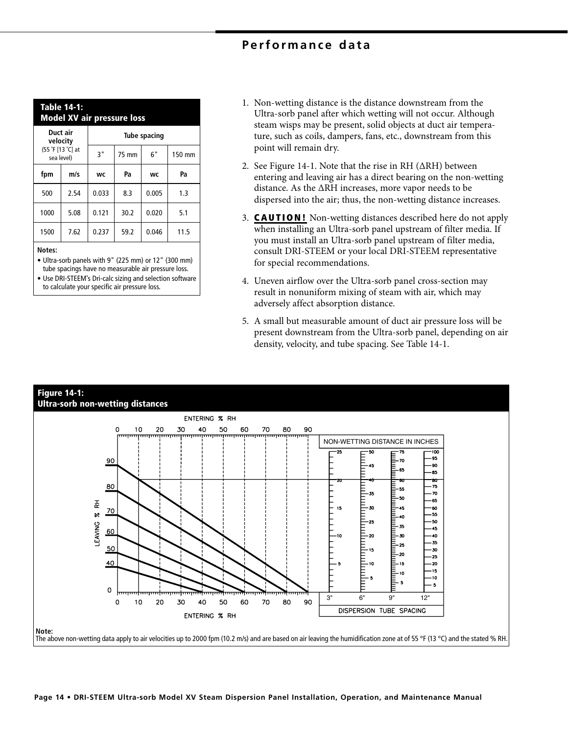## **Performance data**

| Table 14-1:<br><b>Model XV air pressure loss</b>        |      |                     |       |       |        |
|---------------------------------------------------------|------|---------------------|-------|-------|--------|
| Duct air<br>velocity<br>(55 °F [13 °C] at<br>sea level) |      | <b>Tube spacing</b> |       |       |        |
|                                                         |      | 3"                  | 75 mm | 6"    | 150 mm |
| fpm                                                     | m/s  | WC                  | Pa    | WC    | Pa     |
| 500                                                     | 2.54 | 0.033               | 8.3   | 0.005 | 1.3    |
| 1000                                                    | 5.08 | 0.121               | 30.2  | 0.020 | 5.1    |
| 1500                                                    | 7.62 | 0.237               | 59.2  | 0.046 | 11.5   |
|                                                         |      |                     |       |       |        |

#### **Notes:**

**•** Ultra-sorb panels with 9" (225 mm) or 12" (300 mm) tube spacings have no measurable air pressure loss.

**•** Use DRI-STEEM's Dri-calc sizing and selection software to calculate your specific air pressure loss.

- 1. Non-wetting distance is the distance downstream from the Ultra-sorb panel after which wetting will not occur. Although steam wisps may be present, solid objects at duct air temperature, such as coils, dampers, fans, etc., downstream from this point will remain dry.
- 2. See Figure 14-1. Note that the rise in RH  $(\Delta RH)$  between entering and leaving air has a direct bearing on the non-wetting distance. As the ΔRH increases, more vapor needs to be dispersed into the air; thus, the non-wetting distance increases.
- 3. **CAUTION!** Non-wetting distances described here do not apply when installing an Ultra-sorb panel upstream of filter media. If you must install an Ultra-sorb panel upstream of filter media, consult DRI-STEEM or your local DRI-STEEM representative for special recommendations.
- 4. Uneven airflow over the Ultra-sorb panel cross-section may result in nonuniform mixing of steam with air, which may adversely affect absorption distance.
- 5. A small but measurable amount of duct air pressure loss will be present downstream from the Ultra-sorb panel, depending on air density, velocity, and tube spacing. See Table 14-1.

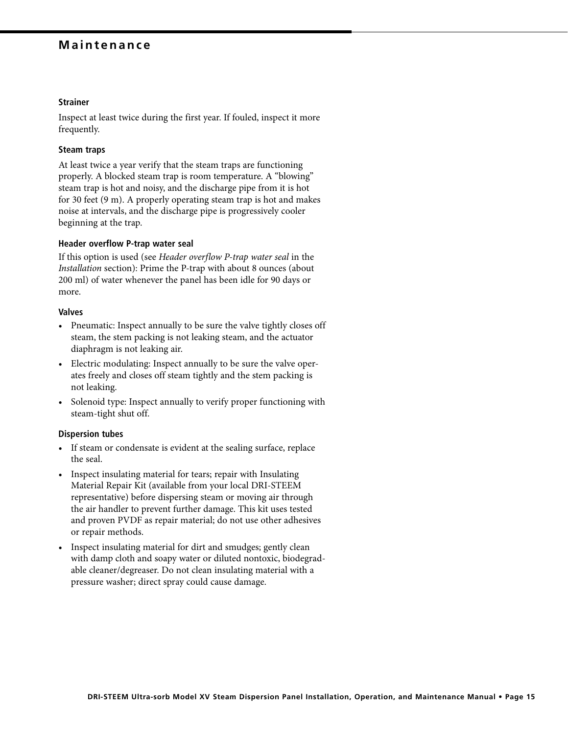### **Maintenance**

#### **Strainer**

Inspect at least twice during the first year. If fouled, inspect it more frequently.

#### **Steam traps**

At least twice a year verify that the steam traps are functioning properly. A blocked steam trap is room temperature. A "blowing" steam trap is hot and noisy, and the discharge pipe from it is hot for 30 feet (9 m). A properly operating steam trap is hot and makes noise at intervals, and the discharge pipe is progressively cooler beginning at the trap.

#### **Header overflow P-trap water seal**

If this option is used (see Header overflow P-trap water seal in the Installation section): Prime the P-trap with about 8 ounces (about 200 ml) of water whenever the panel has been idle for 90 days or more.

#### **Valves**

- Pneumatic: Inspect annually to be sure the valve tightly closes off steam, the stem packing is not leaking steam, and the actuator diaphragm is not leaking air.
- Electric modulating: Inspect annually to be sure the valve operates freely and closes off steam tightly and the stem packing is not leaking.
- Solenoid type: Inspect annually to verify proper functioning with steam-tight shut off.

#### **Dispersion tubes**

- If steam or condensate is evident at the sealing surface, replace the seal.
- Inspect insulating material for tears; repair with Insulating Material Repair Kit (available from your local DRI-STEEM representative) before dispersing steam or moving air through the air handler to prevent further damage. This kit uses tested and proven PVDF as repair material; do not use other adhesives or repair methods.
- Inspect insulating material for dirt and smudges; gently clean with damp cloth and soapy water or diluted nontoxic, biodegradable cleaner/degreaser. Do not clean insulating material with a pressure washer; direct spray could cause damage.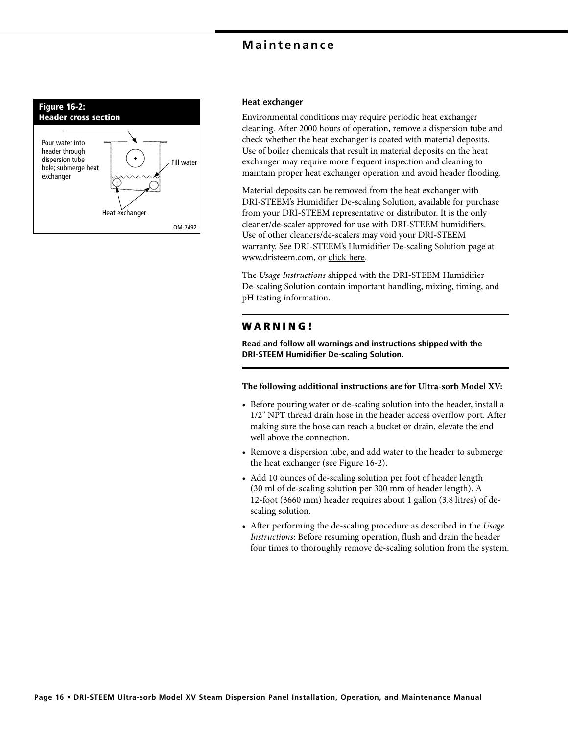### **Maintenance**



#### **Heat exchanger**

Environmental conditions may require periodic heat exchanger cleaning. After 2000 hours of operation, remove a dispersion tube and check whether the heat exchanger is coated with material deposits. Use of boiler chemicals that result in material deposits on the heat exchanger may require more frequent inspection and cleaning to maintain proper heat exchanger operation and avoid header flooding.

Material deposits can be removed from the heat exchanger with DRI-STEEM's Humidifier De-scaling Solution, available for purchase from your DRI-STEEM representative or distributor. It is the only cleaner/de-scaler approved for use with DRI-STEEM humidifiers. Use of other cleaners/de-scalers may void your DRI-STEEM warranty. See DRI-STEEM's Humidifier De-scaling Solution page at www.dristeem.com, or click here.

The Usage Instructions shipped with the DRI-STEEM Humidifier De-scaling Solution contain important handling, mixing, timing, and pH testing information.

#### **W A R N I N G !**

**Read and follow all warnings and instructions shipped with the DRI-STEEM Humidifier De-scaling Solution.**

**The following additional instructions are for Ultra-sorb Model XV:**

- Before pouring water or de-scaling solution into the header, install a 1/2" NPT thread drain hose in the header access overflow port. After making sure the hose can reach a bucket or drain, elevate the end well above the connection.
- Remove a dispersion tube, and add water to the header to submerge the heat exchanger (see Figure 16-2).
- Add 10 ounces of de-scaling solution per foot of header length (30 ml of de-scaling solution per 300 mm of header length). A 12-foot (3660 mm) header requires about 1 gallon (3.8 litres) of descaling solution.
- After performing the de-scaling procedure as described in the Usage Instructions: Before resuming operation, flush and drain the header four times to thoroughly remove de-scaling solution from the system.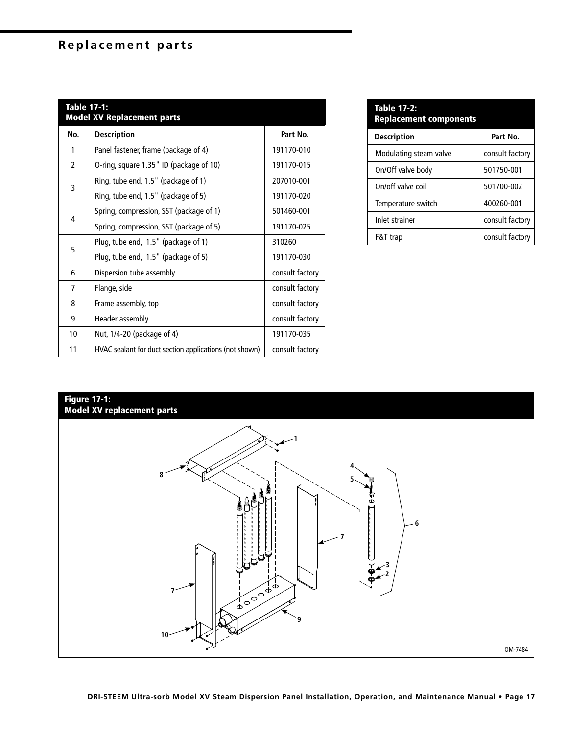## **Replacement parts**

| Table 17-1:<br><b>Model XV Replacement parts</b> |                                                        |                 |
|--------------------------------------------------|--------------------------------------------------------|-----------------|
| No.                                              | <b>Description</b>                                     | Part No.        |
| 1                                                | Panel fastener, frame (package of 4)                   | 191170-010      |
| $\mathfrak z$                                    | O-ring, square 1.35" ID (package of 10)                | 191170-015      |
| 3                                                | Ring, tube end, 1.5" (package of 1)                    | 207010-001      |
|                                                  | Ring, tube end, 1.5" (package of 5)                    | 191170-020      |
| 4                                                | Spring, compression, SST (package of 1)                | 501460-001      |
|                                                  | Spring, compression, SST (package of 5)                | 191170-025      |
| 5                                                | Plug, tube end, 1.5" (package of 1)                    | 310260          |
|                                                  | Plug, tube end, 1.5" (package of 5)                    | 191170-030      |
| 6                                                | Dispersion tube assembly                               | consult factory |
| 7                                                | Flange, side                                           | consult factory |
| 8                                                | Frame assembly, top                                    | consult factory |
| 9                                                | Header assembly                                        | consult factory |
| 10                                               | Nut, 1/4-20 (package of 4)                             | 191170-035      |
| 11                                               | HVAC sealant for duct section applications (not shown) | consult factory |

| <b>Table 17-2:</b><br><b>Replacement components</b> |                 |  |
|-----------------------------------------------------|-----------------|--|
| <b>Description</b>                                  | Part No.        |  |
| Modulating steam valve                              | consult factory |  |
| On/Off valve body                                   | 501750-001      |  |
| On/off valve coil                                   | 501700-002      |  |
| Temperature switch                                  | 400260-001      |  |
| Inlet strainer                                      | consult factory |  |
| F&T trap                                            | consult factory |  |

## **Figure 17-1:**

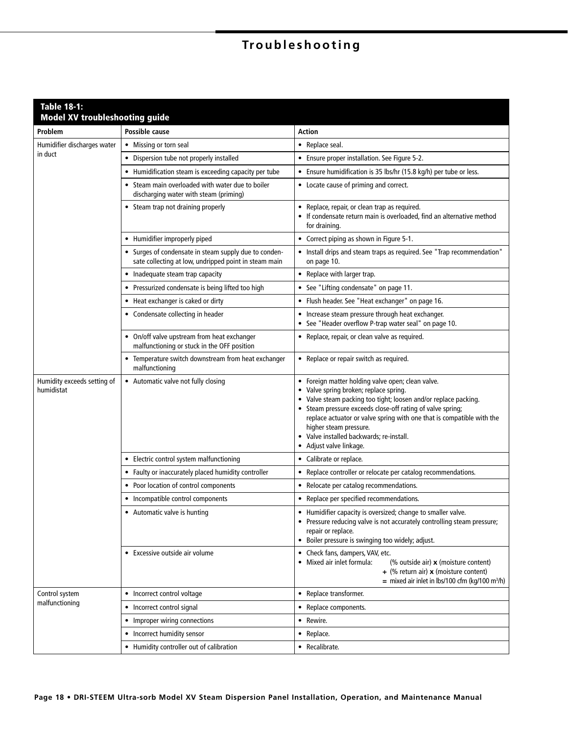# **Troubleshooting**

| <b>Table 18-1:</b><br><b>Model XV troubleshooting guide</b> |                                                                                                                |                                                                                                                                                                                                                                                                                                                                                                                                      |
|-------------------------------------------------------------|----------------------------------------------------------------------------------------------------------------|------------------------------------------------------------------------------------------------------------------------------------------------------------------------------------------------------------------------------------------------------------------------------------------------------------------------------------------------------------------------------------------------------|
| Problem                                                     | Possible cause                                                                                                 | Action                                                                                                                                                                                                                                                                                                                                                                                               |
| Humidifier discharges water<br>in duct                      | • Missing or torn seal                                                                                         | • Replace seal.                                                                                                                                                                                                                                                                                                                                                                                      |
|                                                             | • Dispersion tube not properly installed                                                                       | • Ensure proper installation. See Figure 5-2.                                                                                                                                                                                                                                                                                                                                                        |
|                                                             | • Humidification steam is exceeding capacity per tube                                                          | • Ensure humidification is 35 lbs/hr (15.8 kg/h) per tube or less.                                                                                                                                                                                                                                                                                                                                   |
|                                                             | • Steam main overloaded with water due to boiler<br>discharging water with steam (priming)                     | • Locate cause of priming and correct.                                                                                                                                                                                                                                                                                                                                                               |
|                                                             | • Steam trap not draining properly                                                                             | • Replace, repair, or clean trap as required.<br>• If condensate return main is overloaded, find an alternative method<br>for draining.                                                                                                                                                                                                                                                              |
|                                                             | • Humidifier improperly piped                                                                                  | • Correct piping as shown in Figure 5-1.                                                                                                                                                                                                                                                                                                                                                             |
|                                                             | • Surges of condensate in steam supply due to conden-<br>sate collecting at low, undripped point in steam main | • Install drips and steam traps as required. See "Trap recommendation"<br>on page 10.                                                                                                                                                                                                                                                                                                                |
|                                                             | • Inadequate steam trap capacity                                                                               | • Replace with larger trap.                                                                                                                                                                                                                                                                                                                                                                          |
|                                                             | • Pressurized condensate is being lifted too high                                                              | • See "Lifting condensate" on page 11.                                                                                                                                                                                                                                                                                                                                                               |
|                                                             | • Heat exchanger is caked or dirty                                                                             | • Flush header. See "Heat exchanger" on page 16.                                                                                                                                                                                                                                                                                                                                                     |
|                                                             | • Condensate collecting in header                                                                              | • Increase steam pressure through heat exchanger.<br>• See "Header overflow P-trap water seal" on page 10.                                                                                                                                                                                                                                                                                           |
|                                                             | • On/off valve upstream from heat exchanger<br>malfunctioning or stuck in the OFF position                     | • Replace, repair, or clean valve as required.                                                                                                                                                                                                                                                                                                                                                       |
|                                                             | • Temperature switch downstream from heat exchanger<br>malfunctioning                                          | • Replace or repair switch as required.                                                                                                                                                                                                                                                                                                                                                              |
| Humidity exceeds setting of<br>humidistat                   | • Automatic valve not fully closing                                                                            | • Foreign matter holding valve open; clean valve.<br>• Valve spring broken; replace spring.<br>• Valve steam packing too tight; loosen and/or replace packing.<br>• Steam pressure exceeds close-off rating of valve spring;<br>replace actuator or valve spring with one that is compatible with the<br>higher steam pressure.<br>• Valve installed backwards; re-install.<br>Adjust valve linkage. |
|                                                             | • Electric control system malfunctioning                                                                       | • Calibrate or replace.                                                                                                                                                                                                                                                                                                                                                                              |
|                                                             | • Faulty or inaccurately placed humidity controller                                                            | • Replace controller or relocate per catalog recommendations.                                                                                                                                                                                                                                                                                                                                        |
|                                                             | • Poor location of control components                                                                          | • Relocate per catalog recommendations.                                                                                                                                                                                                                                                                                                                                                              |
|                                                             | • Incompatible control components                                                                              | • Replace per specified recommendations.                                                                                                                                                                                                                                                                                                                                                             |
|                                                             | • Automatic valve is hunting                                                                                   | • Humidifier capacity is oversized; change to smaller valve.<br>• Pressure reducing valve is not accurately controlling steam pressure;<br>repair or replace.<br>• Boiler pressure is swinging too widely; adjust.                                                                                                                                                                                   |
|                                                             | • Excessive outside air volume                                                                                 | • Check fans, dampers, VAV, etc.<br>• Mixed air inlet formula:<br>(% outside air) x (moisture content)<br>+ (% return air) $x$ (moisture content)<br>= mixed air inlet in lbs/100 cfm (kg/100 m <sup>3</sup> /h)                                                                                                                                                                                     |
| Control system                                              | • Incorrect control voltage                                                                                    | • Replace transformer.                                                                                                                                                                                                                                                                                                                                                                               |
| malfunctioning                                              | • Incorrect control signal                                                                                     | • Replace components.                                                                                                                                                                                                                                                                                                                                                                                |
|                                                             | • Improper wiring connections                                                                                  | • Rewire.                                                                                                                                                                                                                                                                                                                                                                                            |
|                                                             | • Incorrect humidity sensor                                                                                    | • Replace.                                                                                                                                                                                                                                                                                                                                                                                           |
|                                                             | • Humidity controller out of calibration                                                                       | • Recalibrate.                                                                                                                                                                                                                                                                                                                                                                                       |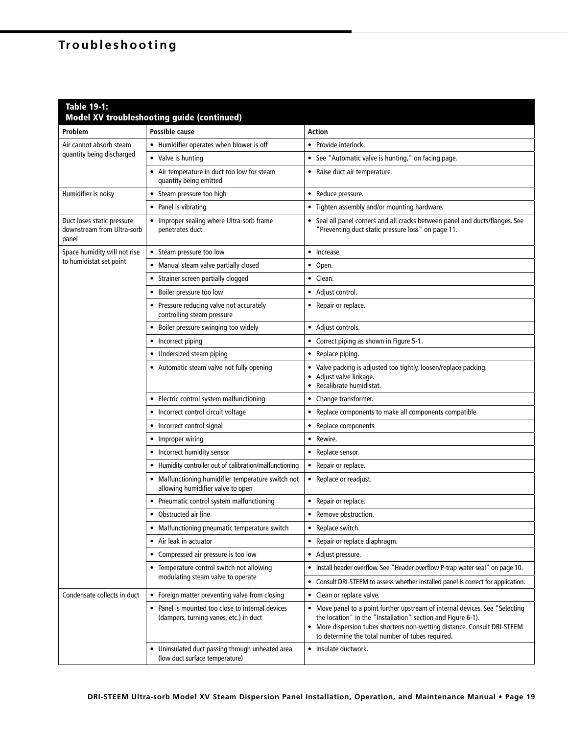# **Troubleshooting**

| <b>Table 19-1:</b>                                                | <b>Model XV troubleshooting guide (continued)</b>                                          |                                                                                                                                                                                                                                                                              |
|-------------------------------------------------------------------|--------------------------------------------------------------------------------------------|------------------------------------------------------------------------------------------------------------------------------------------------------------------------------------------------------------------------------------------------------------------------------|
| Problem                                                           | Possible cause                                                                             | Action                                                                                                                                                                                                                                                                       |
| Air cannot absorb steam<br>quantity being discharged              | • Humidifier operates when blower is off                                                   | • Provide interlock.                                                                                                                                                                                                                                                         |
|                                                                   | • Valve is hunting                                                                         | • See "Automatic valve is hunting," on facing page.                                                                                                                                                                                                                          |
|                                                                   | • Air temperature in duct too low for steam<br>quantity being emitted                      | • Raise duct air temperature.                                                                                                                                                                                                                                                |
| Humidifier is noisy                                               | • Steam pressure too high                                                                  | • Reduce pressure.                                                                                                                                                                                                                                                           |
|                                                                   | • Panel is vibrating                                                                       | Tighten assembly and/or mounting hardware.<br>$\bullet$                                                                                                                                                                                                                      |
| Duct loses static pressure<br>downstream from Ultra-sorb<br>panel | • Improper sealing where Ultra-sorb frame<br>penetrates duct                               | Seal all panel corners and all cracks between panel and ducts/flanges. See<br>"Preventing duct static pressure loss" on page 11.                                                                                                                                             |
| Space humidity will not rise                                      | • Steam pressure too low                                                                   | • Increase.                                                                                                                                                                                                                                                                  |
| to humidistat set point                                           | • Manual steam valve partially closed                                                      | $\bullet$ Open.                                                                                                                                                                                                                                                              |
|                                                                   | • Strainer screen partially clogged                                                        | • Clean.                                                                                                                                                                                                                                                                     |
|                                                                   | • Boiler pressure too low                                                                  | • Adjust control.                                                                                                                                                                                                                                                            |
|                                                                   | • Pressure reducing valve not accurately<br>controlling steam pressure                     | • Repair or replace.                                                                                                                                                                                                                                                         |
|                                                                   | • Boiler pressure swinging too widely                                                      | • Adjust controls.                                                                                                                                                                                                                                                           |
|                                                                   | • Incorrect piping                                                                         | • Correct piping as shown in Figure 5-1.                                                                                                                                                                                                                                     |
|                                                                   | • Undersized steam piping                                                                  | • Replace piping.                                                                                                                                                                                                                                                            |
|                                                                   | • Automatic steam valve not fully opening                                                  | Valve packing is adjusted too tightly, loosen/replace packing.<br>Adjust valve linkage.<br>$\bullet$<br>• Recalibrate humidistat.                                                                                                                                            |
|                                                                   | • Electric control system malfunctioning                                                   | Change transformer.<br>$\bullet$                                                                                                                                                                                                                                             |
|                                                                   | • Incorrect control circuit voltage                                                        | Replace components to make all components compatible.                                                                                                                                                                                                                        |
|                                                                   | • Incorrect control signal                                                                 | • Replace components.                                                                                                                                                                                                                                                        |
|                                                                   | • Improper wiring                                                                          | Rewire.<br>$\bullet$                                                                                                                                                                                                                                                         |
|                                                                   | • Incorrect humidity sensor                                                                | • Replace sensor.                                                                                                                                                                                                                                                            |
|                                                                   | • Humidity controller out of calibration/malfunctioning                                    | Repair or replace.<br>$\bullet$                                                                                                                                                                                                                                              |
|                                                                   | • Malfunctioning humidifier temperature switch not<br>allowing humidifier valve to open    | • Replace or readjust.                                                                                                                                                                                                                                                       |
|                                                                   | • Pneumatic control system malfunctioning                                                  | • Repair or replace.                                                                                                                                                                                                                                                         |
|                                                                   | • Obstructed air line                                                                      | • Remove obstruction.                                                                                                                                                                                                                                                        |
|                                                                   | • Malfunctioning pneumatic temperature switch                                              | • Replace switch.                                                                                                                                                                                                                                                            |
|                                                                   | • Air leak in actuator                                                                     | Repair or replace diaphragm.<br>$\bullet$                                                                                                                                                                                                                                    |
|                                                                   | • Compressed air pressure is too low                                                       | • Adjust pressure.                                                                                                                                                                                                                                                           |
|                                                                   | • Temperature control switch not allowing                                                  | Install header overflow. See "Header overflow P-trap water seal" on page 10.                                                                                                                                                                                                 |
|                                                                   | modulating steam valve to operate                                                          | Consult DRI-STEEM to assess whether installed panel is correct for application.                                                                                                                                                                                              |
| Condensate collects in duct                                       | Foreign matter preventing valve from closing<br>٠                                          | Clean or replace valve.<br>$\bullet$                                                                                                                                                                                                                                         |
|                                                                   | • Panel is mounted too close to internal devices<br>(dampers, turning vanes, etc.) in duct | • Move panel to a point further upstream of internal devices. See "Selecting<br>the location" in the "Installation" section and Figure 6-1).<br>• More dispersion tubes shortens non-wetting distance. Consult DRI-STEEM<br>to determine the total number of tubes required. |
|                                                                   | • Uninsulated duct passing through unheated area<br>(low duct surface temperature)         | • Insulate ductwork.                                                                                                                                                                                                                                                         |